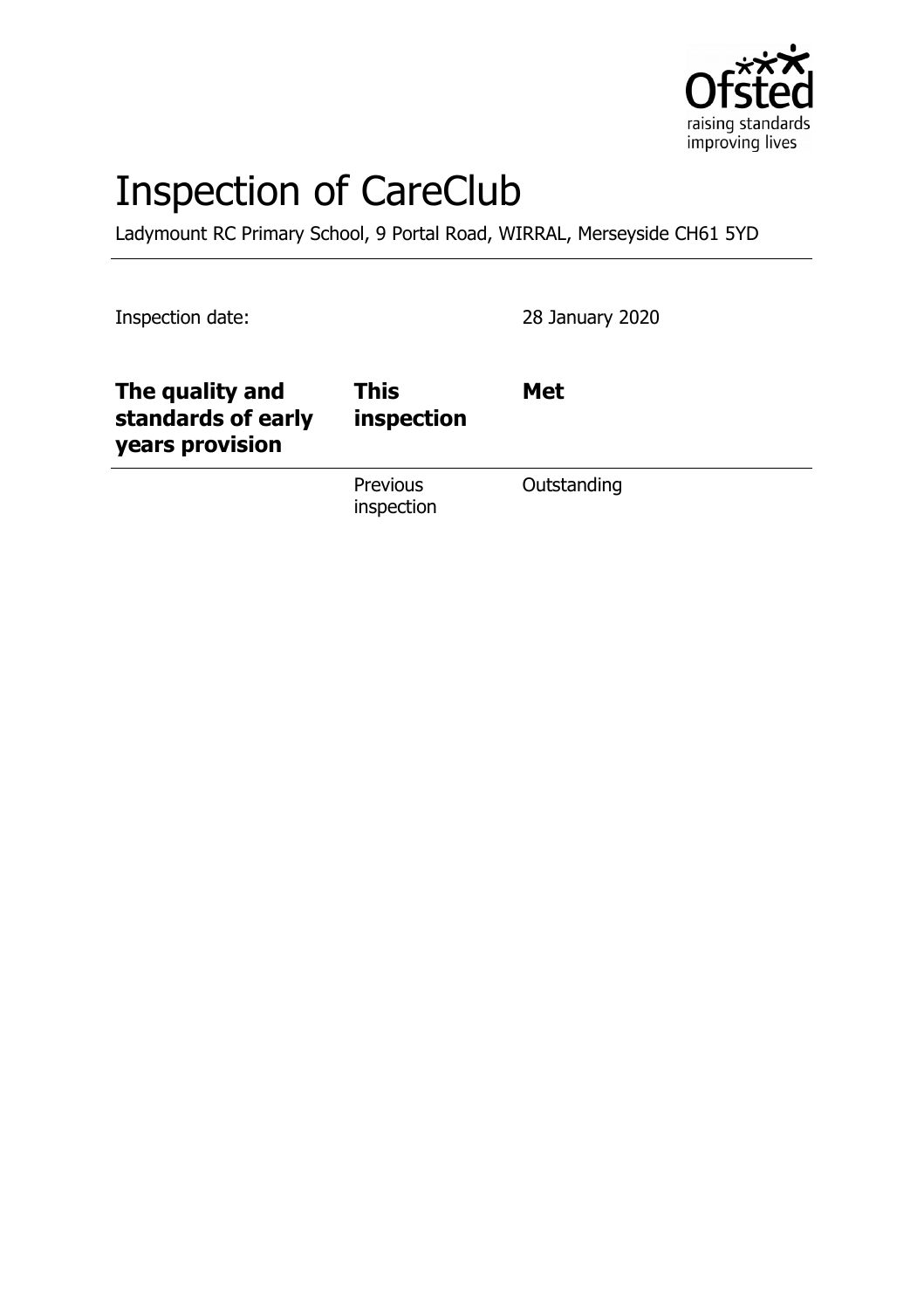

# Inspection of CareClub

Ladymount RC Primary School, 9 Portal Road, WIRRAL, Merseyside CH61 5YD

Inspection date: 28 January 2020

| The quality and<br>standards of early<br>years provision | <b>This</b><br>inspection | <b>Met</b>  |
|----------------------------------------------------------|---------------------------|-------------|
|                                                          | Previous<br>inspection    | Outstanding |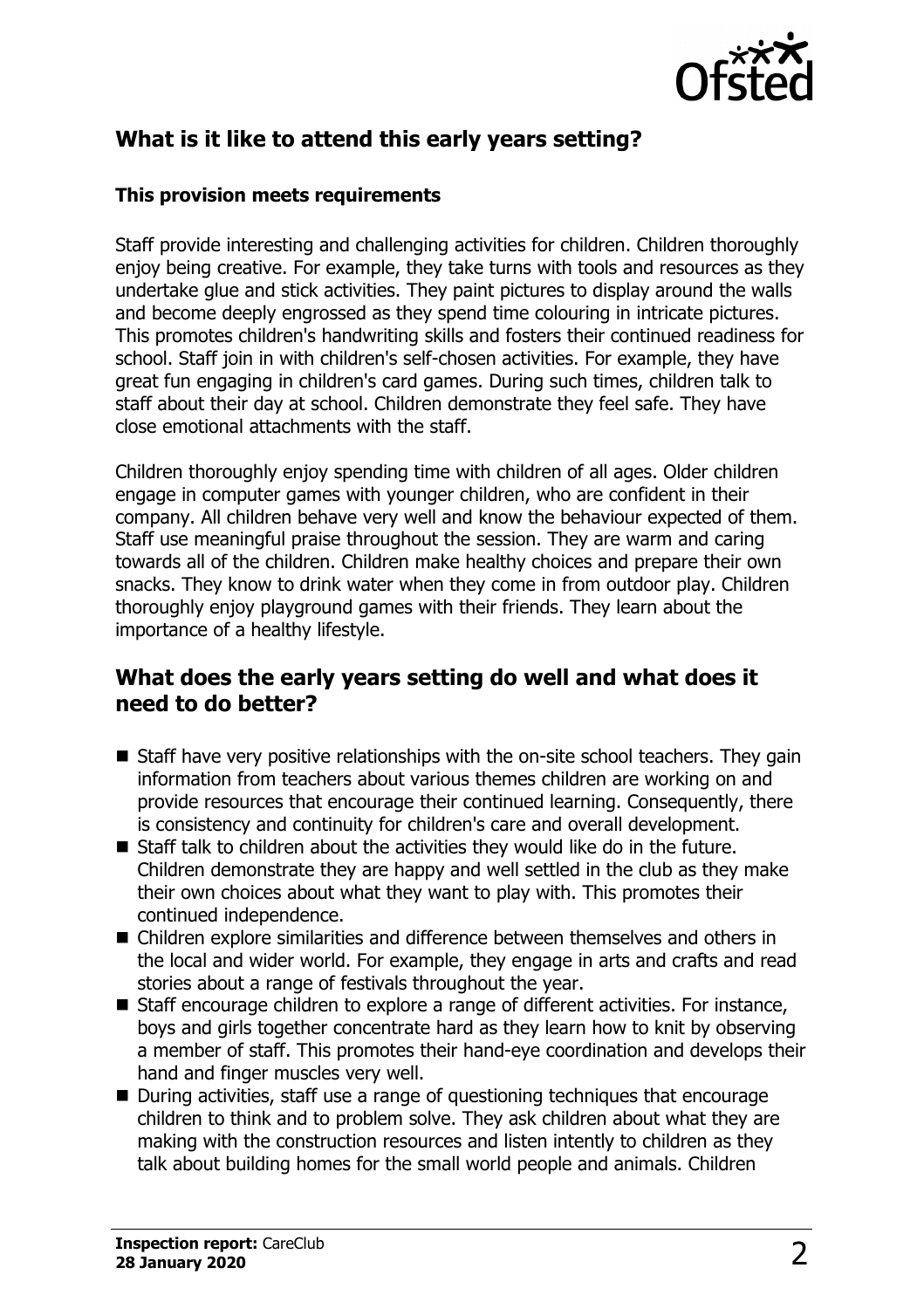

## **What is it like to attend this early years setting?**

#### **This provision meets requirements**

Staff provide interesting and challenging activities for children. Children thoroughly enjoy being creative. For example, they take turns with tools and resources as they undertake glue and stick activities. They paint pictures to display around the walls and become deeply engrossed as they spend time colouring in intricate pictures. This promotes children's handwriting skills and fosters their continued readiness for school. Staff join in with children's self-chosen activities. For example, they have great fun engaging in children's card games. During such times, children talk to staff about their day at school. Children demonstrate they feel safe. They have close emotional attachments with the staff.

Children thoroughly enjoy spending time with children of all ages. Older children engage in computer games with younger children, who are confident in their company. All children behave very well and know the behaviour expected of them. Staff use meaningful praise throughout the session. They are warm and caring towards all of the children. Children make healthy choices and prepare their own snacks. They know to drink water when they come in from outdoor play. Children thoroughly enjoy playground games with their friends. They learn about the importance of a healthy lifestyle.

#### **What does the early years setting do well and what does it need to do better?**

- $\blacksquare$  Staff have very positive relationships with the on-site school teachers. They gain information from teachers about various themes children are working on and provide resources that encourage their continued learning. Consequently, there is consistency and continuity for children's care and overall development.
- $\blacksquare$  Staff talk to children about the activities they would like do in the future. Children demonstrate they are happy and well settled in the club as they make their own choices about what they want to play with. This promotes their continued independence.
- $\blacksquare$  Children explore similarities and difference between themselves and others in the local and wider world. For example, they engage in arts and crafts and read stories about a range of festivals throughout the year.
- $\blacksquare$  Staff encourage children to explore a range of different activities. For instance, boys and girls together concentrate hard as they learn how to knit by observing a member of staff. This promotes their hand-eye coordination and develops their hand and finger muscles very well.
- $\blacksquare$  During activities, staff use a range of questioning techniques that encourage children to think and to problem solve. They ask children about what they are making with the construction resources and listen intently to children as they talk about building homes for the small world people and animals. Children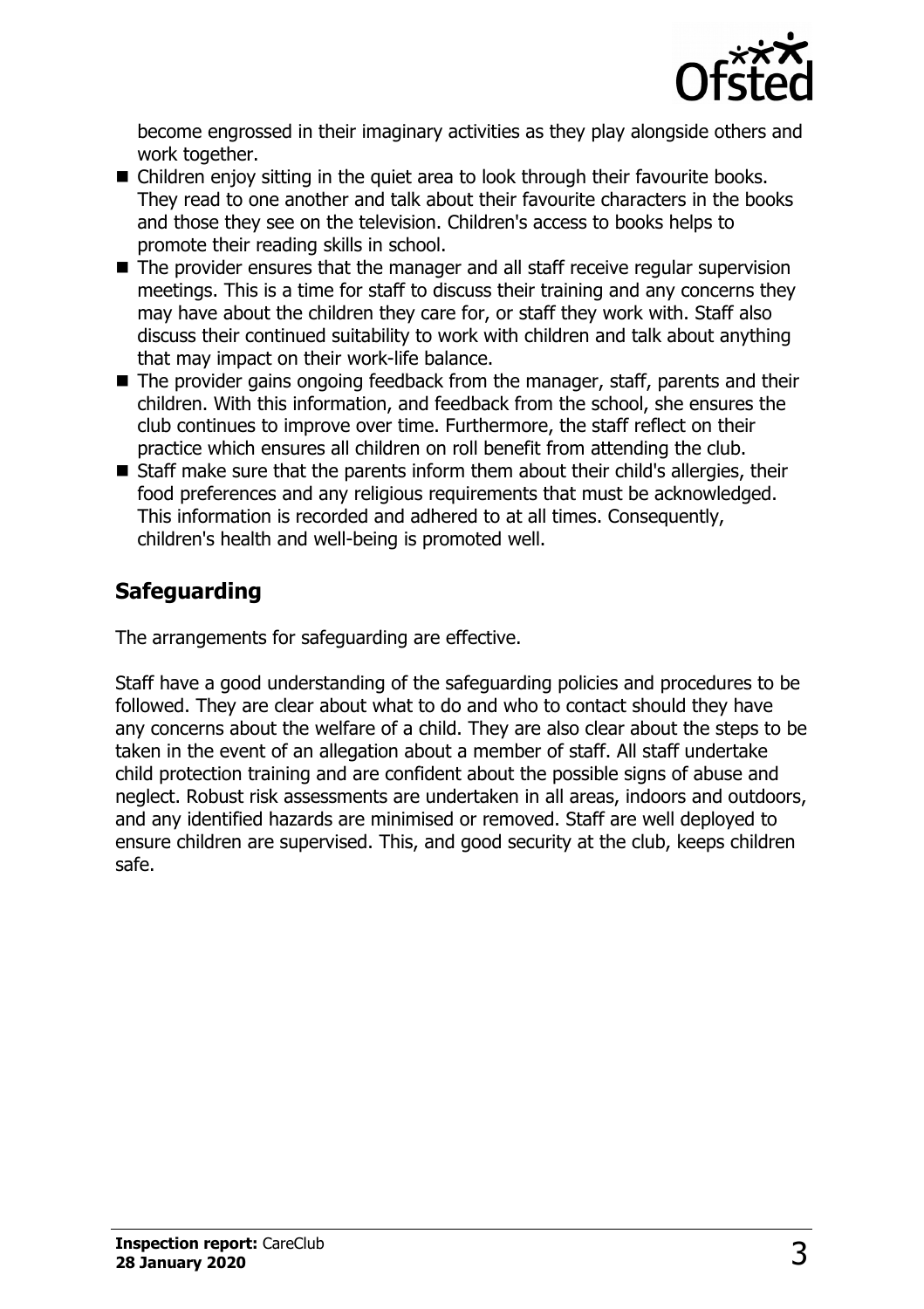

become engrossed in their imaginary activities as they play alongside others and work together.

- $\blacksquare$  Children enjoy sitting in the quiet area to look through their favourite books. They read to one another and talk about their favourite characters in the books and those they see on the television. Children's access to books helps to promote their reading skills in school.
- $\blacksquare$  The provider ensures that the manager and all staff receive regular supervision meetings. This is a time for staff to discuss their training and any concerns they may have about the children they care for, or staff they work with. Staff also discuss their continued suitability to work with children and talk about anything that may impact on their work-life balance.
- $\blacksquare$  The provider gains ongoing feedback from the manager, staff, parents and their children. With this information, and feedback from the school, she ensures the club continues to improve over time. Furthermore, the staff reflect on their practice which ensures all children on roll benefit from attending the club.
- $\blacksquare$  Staff make sure that the parents inform them about their child's allergies, their food preferences and any religious requirements that must be acknowledged. This information is recorded and adhered to at all times. Consequently, children's health and well-being is promoted well.

# **Safeguarding**

The arrangements for safeguarding are effective.

Staff have a good understanding of the safeguarding policies and procedures to be followed. They are clear about what to do and who to contact should they have any concerns about the welfare of a child. They are also clear about the steps to be taken in the event of an allegation about a member of staff. All staff undertake child protection training and are confident about the possible signs of abuse and neglect. Robust risk assessments are undertaken in all areas, indoors and outdoors, and any identified hazards are minimised or removed. Staff are well deployed to ensure children are supervised. This, and good security at the club, keeps children safe.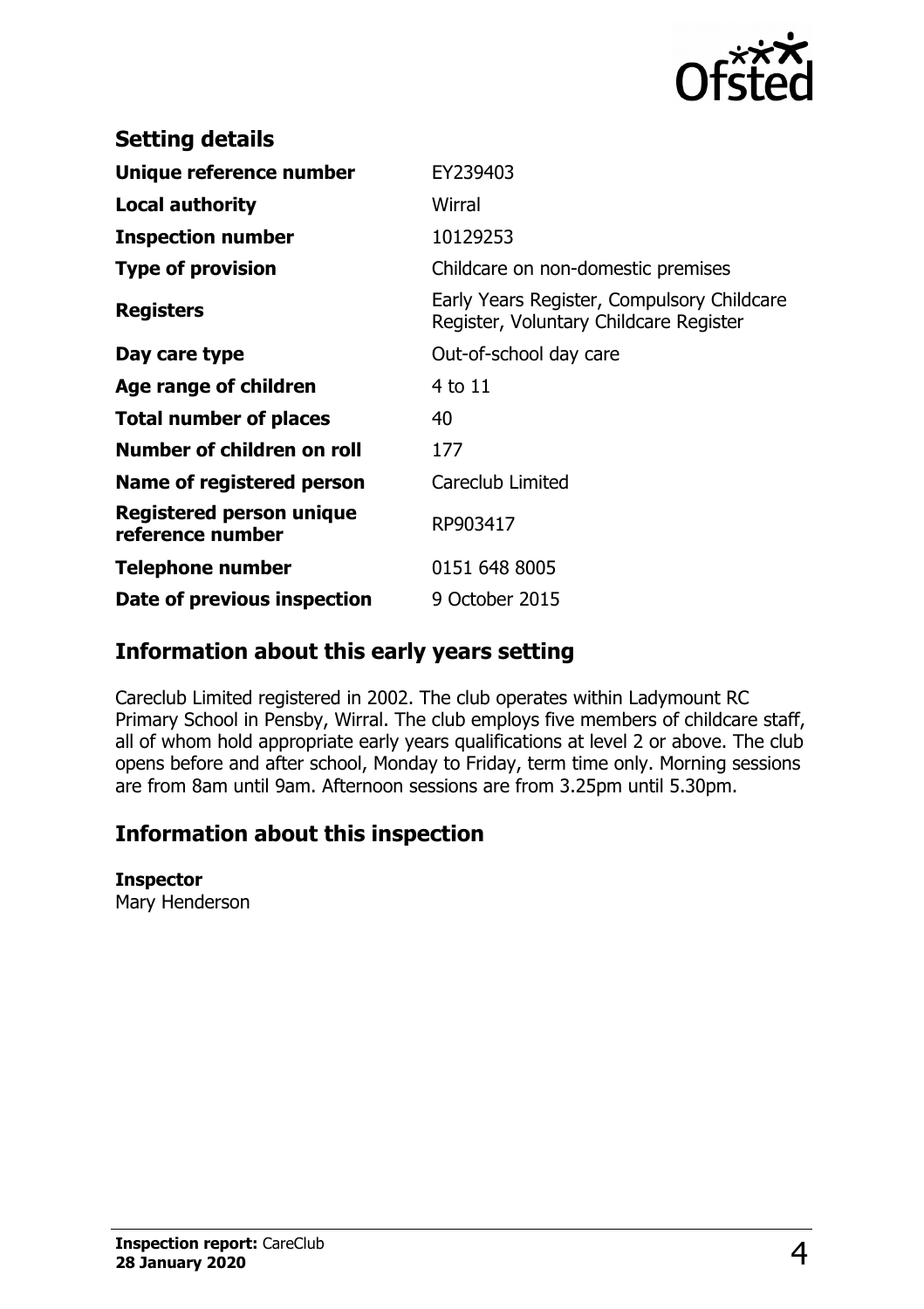

| <b>Setting details</b>                              |                                                                                      |
|-----------------------------------------------------|--------------------------------------------------------------------------------------|
| Unique reference number                             | EY239403                                                                             |
| <b>Local authority</b>                              | Wirral                                                                               |
| <b>Inspection number</b>                            | 10129253                                                                             |
| <b>Type of provision</b>                            | Childcare on non-domestic premises                                                   |
| <b>Registers</b>                                    | Early Years Register, Compulsory Childcare<br>Register, Voluntary Childcare Register |
| Day care type                                       | Out-of-school day care                                                               |
| Age range of children                               | 4 to 11                                                                              |
| <b>Total number of places</b>                       | 40                                                                                   |
| Number of children on roll                          | 177                                                                                  |
| Name of registered person                           | Careclub Limited                                                                     |
| <b>Registered person unique</b><br>reference number | RP903417                                                                             |
| <b>Telephone number</b>                             | 0151 648 8005                                                                        |
| Date of previous inspection                         | 9 October 2015                                                                       |

### **Information about this early years setting**

Careclub Limited registered in 2002. The club operates within Ladymount RC Primary School in Pensby, Wirral. The club employs five members of childcare staff, all of whom hold appropriate early years qualifications at level 2 or above. The club opens before and after school, Monday to Friday, term time only. Morning sessions are from 8am until 9am. Afternoon sessions are from 3.25pm until 5.30pm.

## **Information about this inspection**

#### **Inspector**

Mary Henderson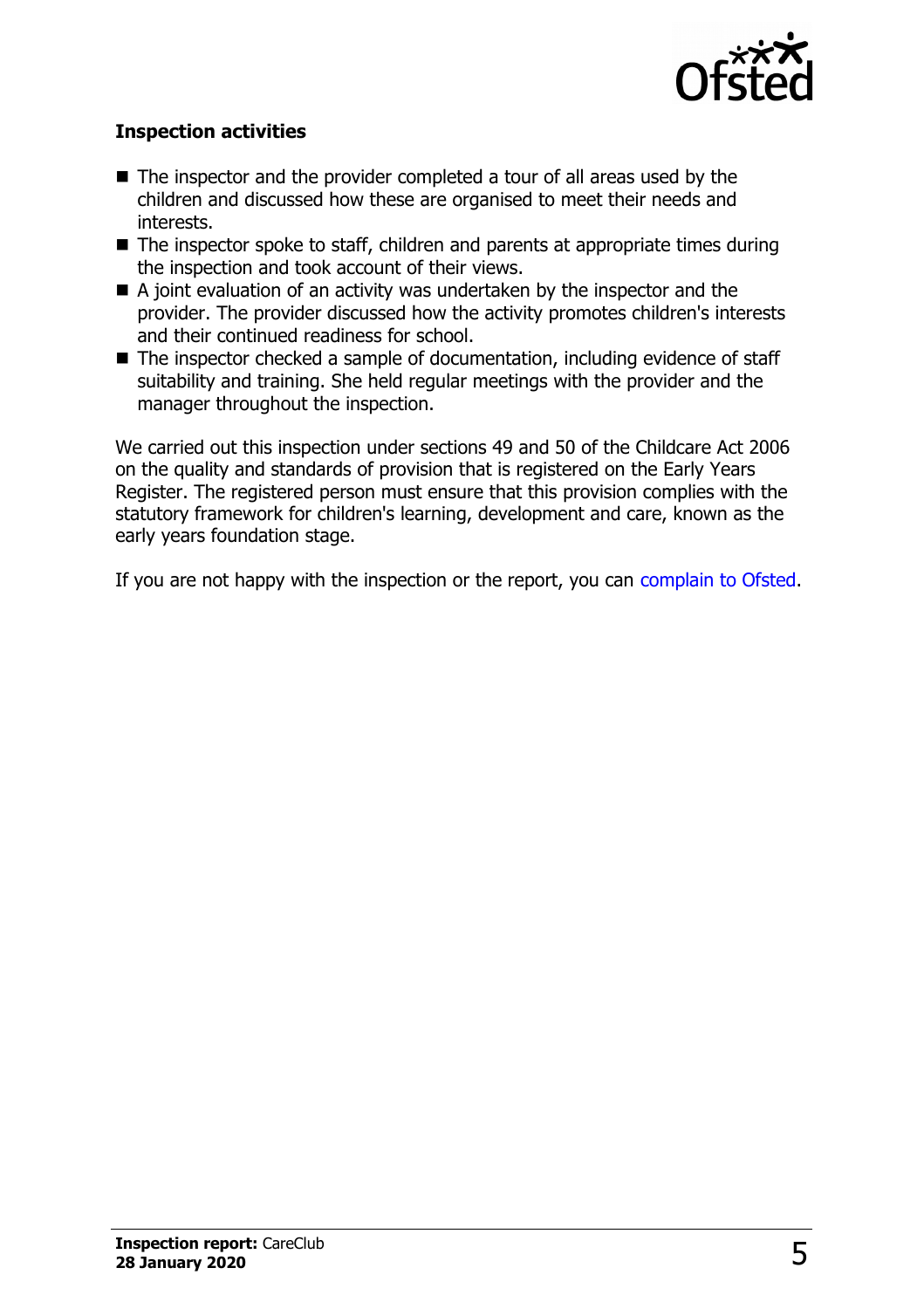

#### **Inspection activities**

- $\blacksquare$  The inspector and the provider completed a tour of all areas used by the children and discussed how these are organised to meet their needs and interests.
- $\blacksquare$  The inspector spoke to staff, children and parents at appropriate times during the inspection and took account of their views.
- $\blacksquare$  A joint evaluation of an activity was undertaken by the inspector and the provider. The provider discussed how the activity promotes children's interests and their continued readiness for school.
- The inspector checked a sample of documentation, including evidence of staff suitability and training. She held regular meetings with the provider and the manager throughout the inspection.

We carried out this inspection under sections 49 and 50 of the Childcare Act 2006 on the quality and standards of provision that is registered on the Early Years Register. The registered person must ensure that this provision complies with the statutory framework for children's learning, development and care, known as the early years foundation stage.

If you are not happy with the inspection or the report, you can [complain to Ofsted.](http://www.gov.uk/complain-ofsted-report)